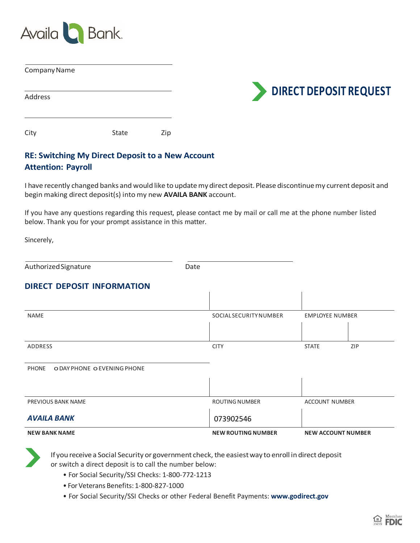

| Company Name |       |     |                               |
|--------------|-------|-----|-------------------------------|
|              |       |     | <b>DIRECT DEPOSIT REQUEST</b> |
| Address      |       |     |                               |
|              |       |     |                               |
| City         | State | Zip |                               |

# **RE: Switching My Direct Deposit to a New Account Attention: Payroll**

I have recently changed banks and would like to update my direct deposit. Please discontinue my current deposit and begin making direct deposit(s) into my new **AVAILA BANK** account.

If you have any questions regarding this request, please contact me by mail or call me at the phone number listed below. Thank you for your prompt assistance in this matter.

Sincerely,

Authorized Signature **Date** Date

#### **DIRECT DEPOSIT INFORMATION**

| <b>NEW BANK NAME</b>                        | <b>NEW ROUTING NUMBER</b>     | <b>NEW ACCOUNT NUMBER</b> |  |  |
|---------------------------------------------|-------------------------------|---------------------------|--|--|
| <b>AVAILA BANK</b>                          | 073902546                     |                           |  |  |
| PREVIOUS BANK NAME                          | <b>ROUTING NUMBER</b>         | <b>ACCOUNT NUMBER</b>     |  |  |
|                                             |                               |                           |  |  |
| <b>PHONE</b><br>O DAY PHONE O EVENING PHONE |                               |                           |  |  |
| ADDRESS                                     | <b>CITY</b>                   | ZIP<br><b>STATE</b>       |  |  |
|                                             |                               |                           |  |  |
| <b>NAME</b>                                 | <b>SOCIAL SECURITY NUMBER</b> | <b>EMPLOYEE NUMBER</b>    |  |  |
|                                             |                               |                           |  |  |

If you receive a Social Security or government check, the easiest way to enroll in direct deposit or switch a direct deposit is to call the number below:

- For Social Security/SSI Checks: 1-800-772-1213
- For Veterans Benefits: 1-800-827-1000
- For Social Security/SSI Checks or other Federal Benefit Payments: **www.godirect.gov**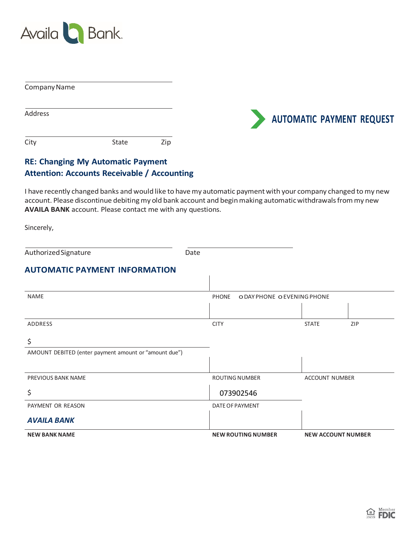

| Company Name   |              |     |
|----------------|--------------|-----|
| <b>Address</b> |              |     |
| City           | <b>State</b> | Zip |



# **RE: Changing My Automatic Payment Attention: Accounts Receivable / Accounting**

I have recently changed banks and would like to have my automatic payment with your company changed to my new account. Please discontinue debiting my old bank account and begin making automatic withdrawals from my new **AVAILA BANK** account. Please contact me with any questions.

Sincerely,

| Authorized Signature                                        | Date                      |                             |                           |  |
|-------------------------------------------------------------|---------------------------|-----------------------------|---------------------------|--|
| <b>AUTOMATIC PAYMENT INFORMATION</b>                        |                           |                             |                           |  |
| <b>NAME</b>                                                 | <b>PHONE</b>              | O DAY PHONE O EVENING PHONE |                           |  |
| <b>ADDRESS</b>                                              | <b>CITY</b>               | <b>STATE</b>                | <b>ZIP</b>                |  |
| \$<br>AMOUNT DEBITED (enter payment amount or "amount due") |                           |                             |                           |  |
|                                                             |                           |                             |                           |  |
| <b>PREVIOUS BANK NAME</b>                                   | <b>ROUTING NUMBER</b>     | <b>ACCOUNT NUMBER</b>       |                           |  |
| \$                                                          | 073902546                 |                             |                           |  |
| PAYMENT OR REASON                                           | DATE OF PAYMENT           |                             |                           |  |
| <b>AVAILA BANK</b>                                          |                           |                             |                           |  |
| <b>NEW BANK NAME</b>                                        | <b>NEW ROUTING NUMBER</b> |                             | <b>NEW ACCOUNT NUMBER</b> |  |